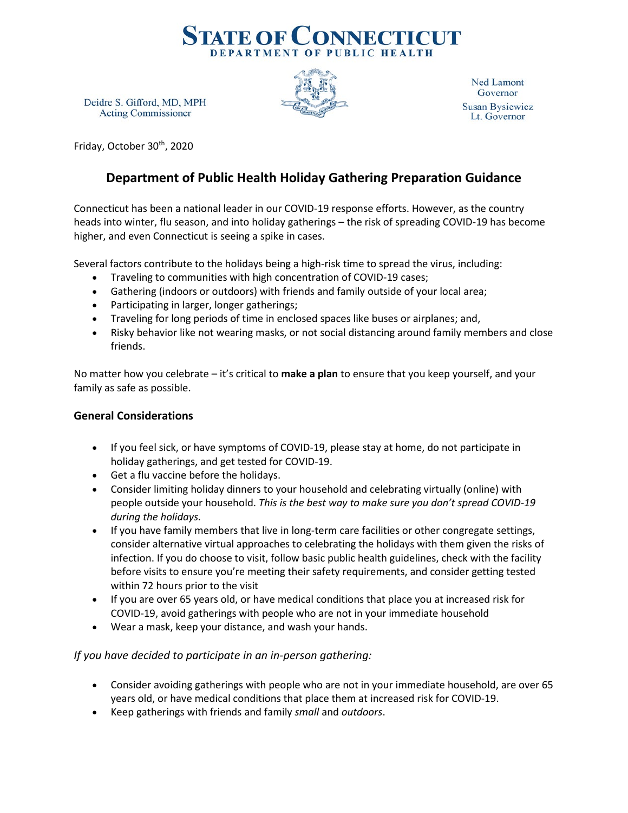

Ned Lamont Governor **Susan Bysiewicz** Lt. Governor

Deidre S. Gifford, MD, MPH **Acting Commissioner** 

Friday, October 30<sup>th</sup>, 2020

# **Department of Public Health Holiday Gathering Preparation Guidance**

Connecticut has been a national leader in our COVID-19 response efforts. However, as the country heads into winter, flu season, and into holiday gatherings – the risk of spreading COVID-19 has become higher, and even Connecticut is seeing a spike in cases.

Several factors contribute to the holidays being a high-risk time to spread the virus, including:

- Traveling to communities with high concentration of COVID-19 cases;
- Gathering (indoors or outdoors) with friends and family outside of your local area;
- Participating in larger, longer gatherings;
- Traveling for long periods of time in enclosed spaces like buses or airplanes; and,
- Risky behavior like not wearing masks, or not social distancing around family members and close friends.

No matter how you celebrate – it's critical to **make a plan** to ensure that you keep yourself, and your family as safe as possible.

## **General Considerations**

- If you feel sick, or have symptoms of COVID-19, please stay at home, do not participate in holiday gatherings, and get tested for COVID-19.
- Get a flu vaccine before the holidays.
- Consider limiting holiday dinners to your household and celebrating virtually (online) with people outside your household. *This is the best way to make sure you don't spread COVID-19 during the holidays.*
- If you have family members that live in long-term care facilities or other congregate settings, consider alternative virtual approaches to celebrating the holidays with them given the risks of infection. If you do choose to visit, follow basic public health guidelines, check with the facility before visits to ensure you're meeting their safety requirements, and consider getting tested within 72 hours prior to the visit
- If you are over 65 years old, or have medical conditions that place you at increased risk for COVID-19, avoid gatherings with people who are not in your immediate household
- Wear a mask, keep your distance, and wash your hands.

## *If you have decided to participate in an in-person gathering:*

- Consider avoiding gatherings with people who are not in your immediate household, are over 65 years old, or have medical conditions that place them at increased risk for COVID-19.
- Keep gatherings with friends and family *small* and *outdoors*.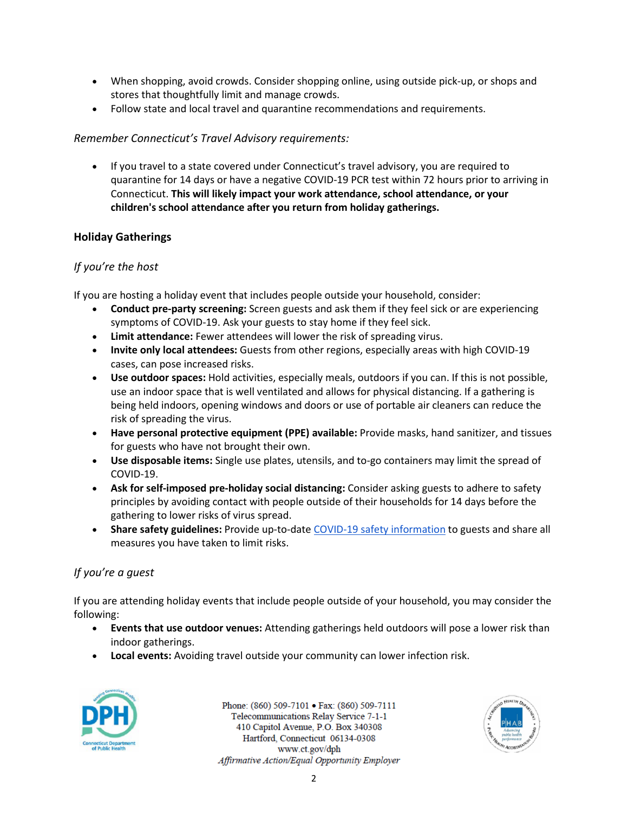- When shopping, avoid crowds. Consider shopping online, using outside pick-up, or shops and stores that thoughtfully limit and manage crowds.
- Follow state and local travel and quarantine recommendations and requirements.

# *Remember Connecticut's Travel Advisory requirements:*

• If you travel to a state covered under Connecticut's travel advisory, you are required to quarantine for 14 days or have a negative COVID-19 PCR test within 72 hours prior to arriving in Connecticut. **This will likely impact your work attendance, school attendance, or your children's school attendance after you return from holiday gatherings.**

# **Holiday Gatherings**

## *If you're the host*

If you are hosting a holiday event that includes people outside your household, consider:

- **Conduct pre-party screening:** Screen guests and ask them if they feel sick or are experiencing symptoms of COVID-19. Ask your guests to stay home if they feel sick.
- **Limit attendance:** Fewer attendees will lower the risk of spreading virus.
- **Invite only local attendees:** Guests from other regions, especially areas with high COVID-19 cases, can pose increased risks.
- **Use outdoor spaces:** Hold activities, especially meals, outdoors if you can. If this is not possible, use an indoor space that is well ventilated and allows for physical distancing. If a gathering is being held indoors, opening windows and doors or use of portable air cleaners can reduce the risk of spreading the virus.
- **Have personal protective equipment (PPE) available:** Provide masks, hand sanitizer, and tissues for guests who have not brought their own.
- **Use disposable items:** Single use plates, utensils, and to-go containers may limit the spread of COVID-19.
- **Ask for self-imposed pre-holiday social distancing:** Consider asking guests to adhere to safety principles by avoiding contact with people outside of their households for 14 days before the gathering to lower risks of virus spread.
- **Share safety guidelines:** Provide up-to-date [COVID-19 safety information](https://portal.ct.gov/Coronavirus/Health-and-Safety) to guests and share all measures you have taken to limit risks.

# *If you're a guest*

If you are attending holiday events that include people outside of your household, you may consider the following:

- **Events that use outdoor venues:** Attending gatherings held outdoors will pose a lower risk than indoor gatherings.
- **Local events:** Avoiding travel outside your community can lower infection risk.



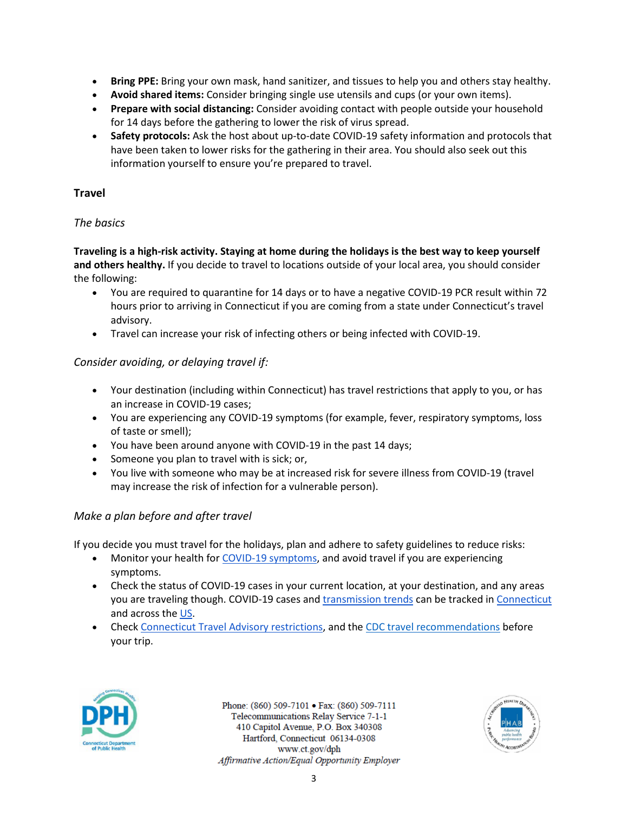- **Bring PPE:** Bring your own mask, hand sanitizer, and tissues to help you and others stay healthy.
- **Avoid shared items:** Consider bringing single use utensils and cups (or your own items).
- **Prepare with social distancing:** Consider avoiding contact with people outside your household for 14 days before the gathering to lower the risk of virus spread.
- **Safety protocols:** Ask the host about up-to-date COVID-19 safety information and protocols that have been taken to lower risks for the gathering in their area. You should also seek out this information yourself to ensure you're prepared to travel.

#### **Travel**

#### *The basics*

**Traveling is a high-risk activity. Staying at home during the holidays is the best way to keep yourself and others healthy.** If you decide to travel to locations outside of your local area, you should consider the following:

- You are required to quarantine for 14 days or to have a negative COVID-19 PCR result within 72 hours prior to arriving in Connecticut if you are coming from a state under Connecticut's travel advisory.
- Travel can increase your risk of infecting others or being infected with COVID-19.

## *Consider avoiding, or delaying travel if:*

- Your destination (including within Connecticut) has travel restrictions that apply to you, or has an increase in COVID-19 cases;
- You are experiencing any COVID-19 symptoms (for example, fever, respiratory symptoms, loss of taste or smell);
- You have been around anyone with COVID-19 in the past 14 days;
- Someone you plan to travel with is sick; or,
- You live with someone who may be at increased risk for severe illness from COVID-19 (travel may increase the risk of infection for a vulnerable person).

## *Make a plan before and after travel*

If you decide you must travel for the holidays, plan and adhere to safety guidelines to reduce risks:

- Monitor your health fo[r COVID-19 symptoms,](https://www.cdc.gov/coronavirus/2019-ncov/symptoms-testing/symptoms.html) and avoid travel if you are experiencing symptoms.
- Check the status of COVID-19 cases in your current location, at your destination, and any areas you are traveling though. COVID-19 cases and [transmission trends](https://www.covidestim.org/) can be tracked in [Connecticut](https://portal.ct.gov/Coronavirus/COVID-19-Data-Tracker) and across th[e US.](https://covid.cdc.gov/covid-data-tracker/#cases_totalcases)
- Check Connecticut [Travel Advisory restrictions,](https://portal.ct.gov/Coronavirus/travel) and th[e CDC travel recommendations](https://www.cdc.gov/coronavirus/2019-ncov/travelers/map-and-travel-notices.html#travel-1) before your trip.



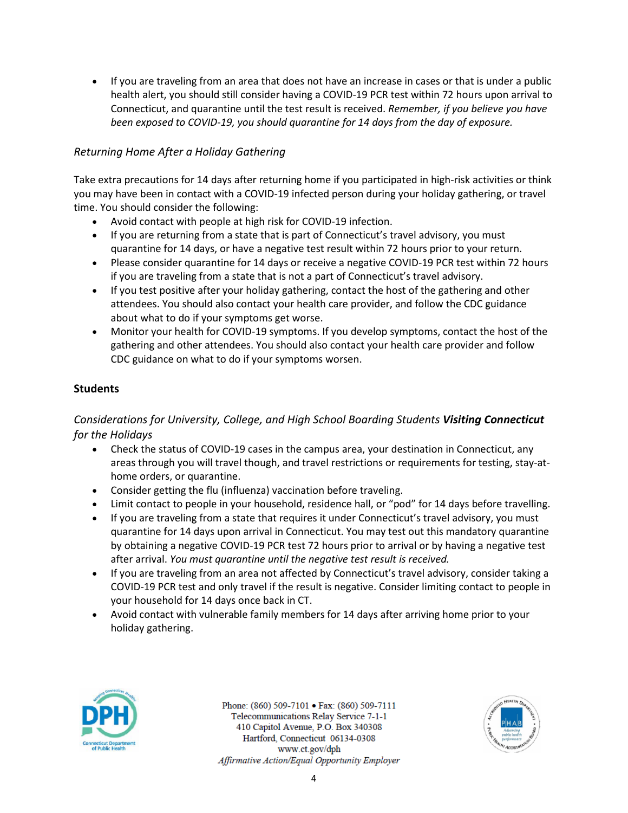• If you are traveling from an area that does not have an increase in cases or that is under a public health alert, you should still consider having a COVID-19 PCR test within 72 hours upon arrival to Connecticut, and quarantine until the test result is received. *Remember, if you believe you have been exposed to COVID-19, you should quarantine for 14 days from the day of exposure.*

# *Returning Home After a Holiday Gathering*

Take extra precautions for 14 days after returning home if you participated in high-risk activities or think you may have been in contact with a COVID-19 infected person during your holiday gathering, or travel time. You should consider the following:

- Avoid contact with people at high risk for COVID-19 infection.
- If you are returning from a state that is part of Connecticut's travel advisory, you must quarantine for 14 days, or have a negative test result within 72 hours prior to your return.
- Please consider quarantine for 14 days or receive a negative COVID-19 PCR test within 72 hours if you are traveling from a state that is not a part of Connecticut's travel advisory.
- If you test positive after your holiday gathering, contact the host of the gathering and other attendees. You should also contact your health care provider, and follow the CDC guidance about what to do if your symptoms get worse.
- Monitor your health for COVID-19 symptoms. If you develop symptoms, contact the host of the gathering and other attendees. You should also contact your health care provider and follow CDC guidance on what to do if your symptoms worsen.

## **Students**

# *Considerations for University, College, and High School Boarding Students Visiting Connecticut for the Holidays*

- Check the status of COVID-19 cases in the campus area, your destination in Connecticut, any areas through you will travel though, and travel restrictions or requirements for testing, stay-athome orders, or quarantine.
- Consider getting the flu (influenza) vaccination before traveling.
- Limit contact to people in your household, residence hall, or "pod" for 14 days before travelling.
- If you are traveling from a state that requires it under Connecticut's travel advisory, you must quarantine for 14 days upon arrival in Connecticut. You may test out this mandatory quarantine by obtaining a negative COVID-19 PCR test 72 hours prior to arrival or by having a negative test after arrival. *You must quarantine until the negative test result is received.*
- If you are traveling from an area not affected by Connecticut's travel advisory, consider taking a COVID-19 PCR test and only travel if the result is negative. Consider limiting contact to people in your household for 14 days once back in CT.
- Avoid contact with vulnerable family members for 14 days after arriving home prior to your holiday gathering.